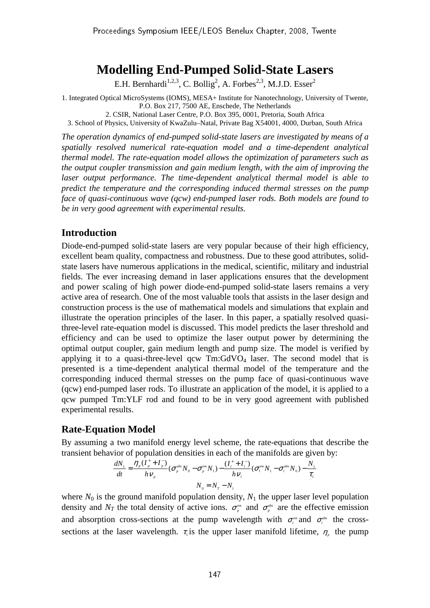# **Modelling End-Pumped Solid-State Lasers**

E.H. Bernhardi<sup>1,2,3</sup>, C. Bollig<sup>2</sup>, A. Forbes<sup>2,3</sup>, M.J.D. Esser<sup>2</sup>

1. Integrated Optical MicroSystems (IOMS), MESA+ Institute for Nanotechnology, University of Twente, P.O. Box 217, 7500 AE, Enschede, The Netherlands 2. CSIR, National Laser Centre, P.O. Box 395, 0001, Pretoria, South Africa

3. School of Physics, University of KwaZulu–Natal, Private Bag X54001, 4000, Durban, South Africa

*The operation dynamics of end-pumped solid-state lasers are investigated by means of a spatially resolved numerical rate-equation model and a time-dependent analytical thermal model. The rate-equation model allows the optimization of parameters such as the output coupler transmission and gain medium length, with the aim of improving the laser output performance. The time-dependent analytical thermal model is able to predict the temperature and the corresponding induced thermal stresses on the pump face of quasi-continuous wave (qcw) end-pumped laser rods. Both models are found to be in very good agreement with experimental results.* 

## **Introduction**

Diode-end-pumped solid-state lasers are very popular because of their high efficiency, excellent beam quality, compactness and robustness. Due to these good attributes, solidstate lasers have numerous applications in the medical, scientific, military and industrial fields. The ever increasing demand in laser applications ensures that the development and power scaling of high power diode-end-pumped solid-state lasers remains a very active area of research. One of the most valuable tools that assists in the laser design and construction process is the use of mathematical models and simulations that explain and illustrate the operation principles of the laser. In this paper, a spatially resolved quasithree-level rate-equation model is discussed. This model predicts the laser threshold and efficiency and can be used to optimize the laser output power by determining the optimal output coupler, gain medium length and pump size. The model is verified by applying it to a quasi-three-level  $qcw$  Tm:GdVO<sub>4</sub> laser. The second model that is presented is a time-dependent analytical thermal model of the temperature and the corresponding induced thermal stresses on the pump face of quasi-continuous wave (qcw) end-pumped laser rods. To illustrate an application of the model, it is applied to a qcw pumped Tm:YLF rod and found to be in very good agreement with published experimental results.

## **Rate-Equation Model**

By assuming a two manifold energy level scheme, the rate-equations that describe the transient behavior of population densities in each of the manifolds are given by:

$$
\frac{dN_1}{dt} = \frac{\eta_p (I_p^+ + I_p^-)}{hV_p} (\sigma_p^{abs} N_0 - \sigma_p^{em} N_1) - \frac{(I_l^+ + I_l^-)}{hV_l} (\sigma_l^{em} N_1 - \sigma_l^{abs} N_0) - \frac{N_1}{\tau_1}
$$
  

$$
N_0 = N_T - N_1
$$

where  $N_0$  is the ground manifold population density,  $N_1$  the upper laser level population density and  $N_T$  the total density of active ions.  $\sigma_p^{\text{em}}$  and  $\sigma_p^{\text{abs}}$  are the effective emission and absorption cross-sections at the pump wavelength with  $\sigma_i^{em}$  and  $\sigma_i^{obs}$  the crosssections at the laser wavelength.  $\tau_1$  is the upper laser manifold lifetime,  $\eta_p$  the pump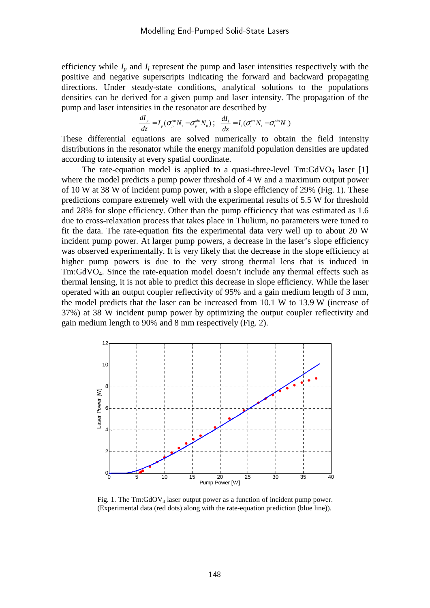efficiency while  $I_p$  and  $I_l$  represent the pump and laser intensities respectively with the positive and negative superscripts indicating the forward and backward propagating directions. Under steady-state conditions, analytical solutions to the populations densities can be derived for a given pump and laser intensity. The propagation of the pump and laser intensities in the resonator are described by

$$
\frac{dI_p}{dz} = I_p(\sigma_p^{em} N_1 - \sigma_p^{abs} N_0) ; \frac{dI_l}{dz} = I_l(\sigma_l^{em} N_1 - \sigma_l^{abs} N_0)
$$

These differential equations are solved numerically to obtain the field intensity distributions in the resonator while the energy manifold population densities are updated according to intensity at every spatial coordinate.

The rate-equation model is applied to a quasi-three-level  $Tm:GdVO<sub>4</sub>$  laser [1] where the model predicts a pump power threshold of 4 W and a maximum output power of 10 W at 38 W of incident pump power, with a slope efficiency of 29% (Fig. 1). These predictions compare extremely well with the experimental results of 5.5 W for threshold and 28% for slope efficiency. Other than the pump efficiency that was estimated as 1.6 due to cross-relaxation process that takes place in Thulium, no parameters were tuned to fit the data. The rate-equation fits the experimental data very well up to about 20 W incident pump power. At larger pump powers, a decrease in the laser's slope efficiency was observed experimentally. It is very likely that the decrease in the slope efficiency at higher pump powers is due to the very strong thermal lens that is induced in Tm:GdVO4. Since the rate-equation model doesn't include any thermal effects such as thermal lensing, it is not able to predict this decrease in slope efficiency. While the laser operated with an output coupler reflectivity of 95% and a gain medium length of 3 mm, the model predicts that the laser can be increased from 10.1 W to 13.9 W (increase of 37%) at 38 W incident pump power by optimizing the output coupler reflectivity and gain medium length to 90% and 8 mm respectively (Fig. 2).



Fig. 1. The  $Tm:GdOV<sub>4</sub>$  laser output power as a function of incident pump power. (Experimental data (red dots) along with the rate-equation prediction (blue line)).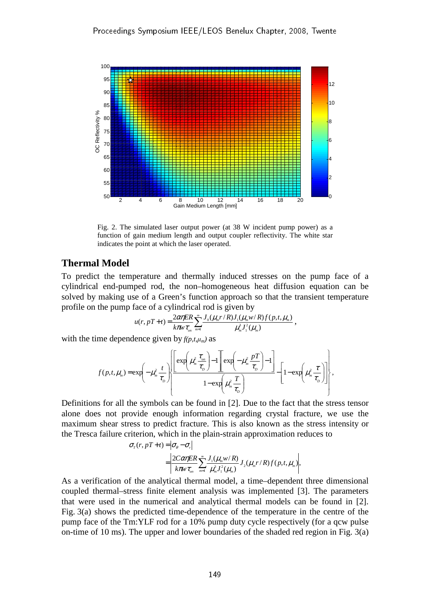

Fig. 2. The simulated laser output power (at 38 W incident pump power) as a function of gain medium length and output coupler reflectivity. The white star indicates the point at which the laser operated.

#### **Thermal Model**

To predict the temperature and thermally induced stresses on the pump face of a cylindrical end-pumped rod, the non–homogeneous heat diffusion equation can be solved by making use of a Green's function approach so that the transient temperature profile on the pump face of a cylindrical rod is given by

$$
u(r, pT+t) = \frac{2\alpha\eta ER}{k\pi w \tau_{on}} \sum_{m=1}^{\infty} \frac{J_0(\mu_m r/R)J_1(\mu_m w/R)f(p,t,\mu_m)}{\mu_m^3 J_1^2(\mu_m)}
$$

,

with the time dependence given by  $f(p,t,\mu_m)$  as

$$
f(p,t,\mu_m) = \exp\left(-\mu_m^2 \frac{t}{\tau_D}\right) \left[\frac{\exp\left(\mu_m^2 \frac{\tau_m}{\tau_D}\right) - 1 \right] \exp\left(-\mu_m^2 \frac{pT}{\tau_D}\right) - 1}{1 - \exp\left(\mu_m^2 \frac{T}{\tau_D}\right)} - \left[1 - \exp\left(\mu_m^2 \frac{\tau}{\tau_D}\right)\right]\right],
$$

Definitions for all the symbols can be found in [2]. Due to the fact that the stress tensor alone does not provide enough information regarding crystal fracture, we use the maximum shear stress to predict fracture. This is also known as the stress intensity or the Tresca failure criterion, which in the plain-strain approximation reduces to

$$
\sigma_r(r, pT+t) = |\sigma_{\theta} - \sigma_r|
$$
  
= 
$$
\left| \frac{2C\alpha\eta ER}{k\pi w \tau_{on}} \sum_{m=1}^{\infty} \frac{J_1(\mu_m w/R)}{\mu_m^3 J_1^2(\mu_m)} J_2(\mu_m r/R) f(p,t,\mu_m) \right|,
$$

As a verification of the analytical thermal model, a time–dependent three dimensional coupled thermal–stress finite element analysis was implemented [3]. The parameters that were used in the numerical and analytical thermal models can be found in [2]. Fig. 3(a) shows the predicted time-dependence of the temperature in the centre of the pump face of the Tm:YLF rod for a 10% pump duty cycle respectively (for a qcw pulse on-time of 10 ms). The upper and lower boundaries of the shaded red region in Fig. 3(a)